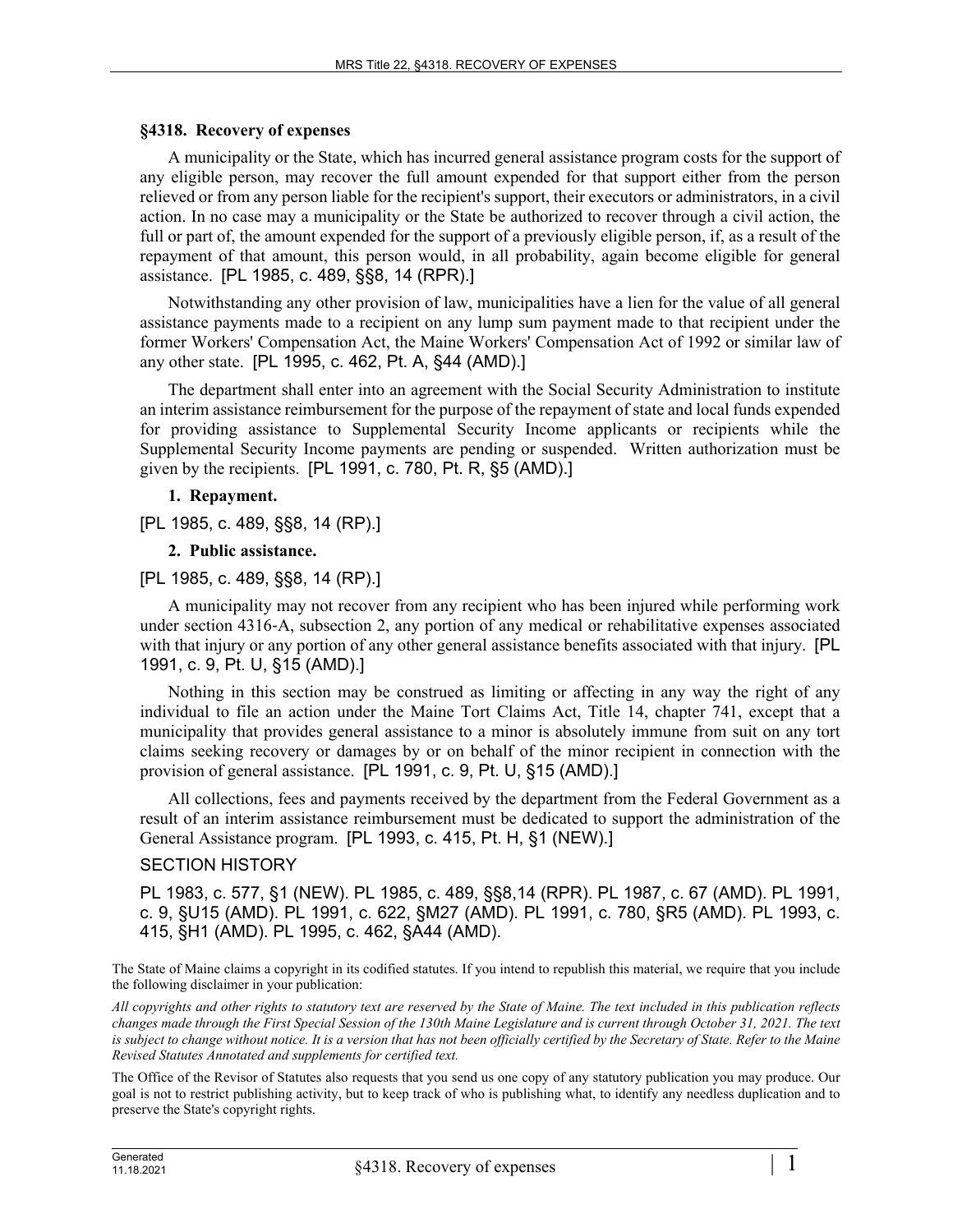# **§4318. Recovery of expenses**

A municipality or the State, which has incurred general assistance program costs for the support of any eligible person, may recover the full amount expended for that support either from the person relieved or from any person liable for the recipient's support, their executors or administrators, in a civil action. In no case may a municipality or the State be authorized to recover through a civil action, the full or part of, the amount expended for the support of a previously eligible person, if, as a result of the repayment of that amount, this person would, in all probability, again become eligible for general assistance. [PL 1985, c. 489, §§8, 14 (RPR).]

Notwithstanding any other provision of law, municipalities have a lien for the value of all general assistance payments made to a recipient on any lump sum payment made to that recipient under the former Workers' Compensation Act, the Maine Workers' Compensation Act of 1992 or similar law of any other state. [PL 1995, c. 462, Pt. A, §44 (AMD).]

The department shall enter into an agreement with the Social Security Administration to institute an interim assistance reimbursement for the purpose of the repayment of state and local funds expended for providing assistance to Supplemental Security Income applicants or recipients while the Supplemental Security Income payments are pending or suspended. Written authorization must be given by the recipients. [PL 1991, c. 780, Pt. R, §5 (AMD).]

# **1. Repayment.**

[PL 1985, c. 489, §§8, 14 (RP).]

# **2. Public assistance.**

# [PL 1985, c. 489, §§8, 14 (RP).]

A municipality may not recover from any recipient who has been injured while performing work under section 4316–A, subsection 2, any portion of any medical or rehabilitative expenses associated with that injury or any portion of any other general assistance benefits associated with that injury. **[PL**] 1991, c. 9, Pt. U, §15 (AMD).]

Nothing in this section may be construed as limiting or affecting in any way the right of any individual to file an action under the Maine Tort Claims Act, Title 14, chapter 741, except that a municipality that provides general assistance to a minor is absolutely immune from suit on any tort claims seeking recovery or damages by or on behalf of the minor recipient in connection with the provision of general assistance. [PL 1991, c. 9, Pt. U, §15 (AMD).]

All collections, fees and payments received by the department from the Federal Government as a result of an interim assistance reimbursement must be dedicated to support the administration of the General Assistance program. [PL 1993, c. 415, Pt. H, §1 (NEW).]

# SECTION HISTORY

PL 1983, c. 577, §1 (NEW). PL 1985, c. 489, §§8,14 (RPR). PL 1987, c. 67 (AMD). PL 1991, c. 9, §U15 (AMD). PL 1991, c. 622, §M27 (AMD). PL 1991, c. 780, §R5 (AMD). PL 1993, c. 415, §H1 (AMD). PL 1995, c. 462, §A44 (AMD).

The State of Maine claims a copyright in its codified statutes. If you intend to republish this material, we require that you include the following disclaimer in your publication:

*All copyrights and other rights to statutory text are reserved by the State of Maine. The text included in this publication reflects changes made through the First Special Session of the 130th Maine Legislature and is current through October 31, 2021. The text*  is subject to change without notice. It is a version that has not been officially certified by the Secretary of State. Refer to the Maine *Revised Statutes Annotated and supplements for certified text.*

The Office of the Revisor of Statutes also requests that you send us one copy of any statutory publication you may produce. Our goal is not to restrict publishing activity, but to keep track of who is publishing what, to identify any needless duplication and to preserve the State's copyright rights.